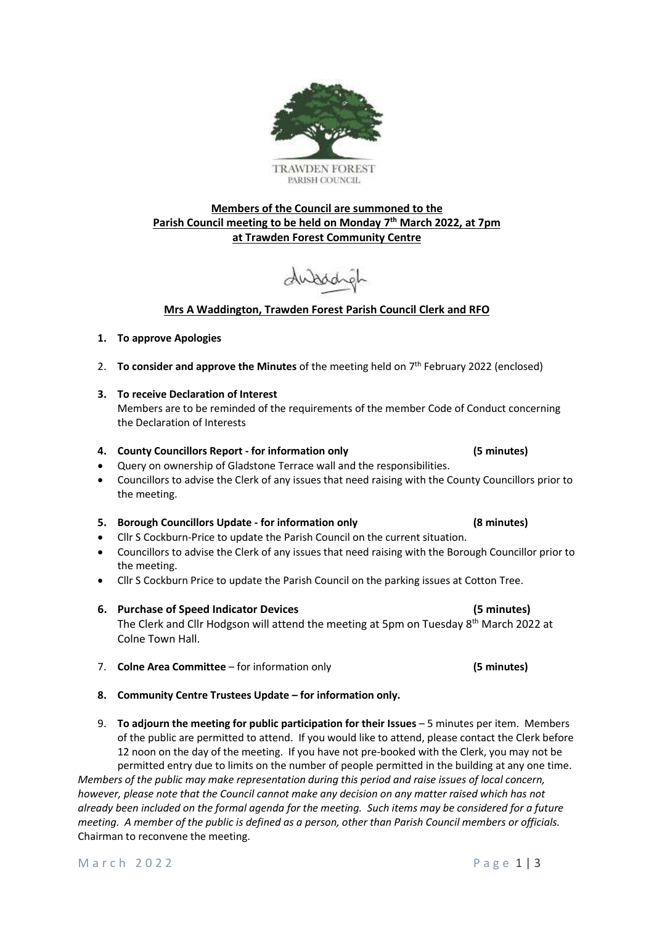- **8. Community Centre Trustees Update – for information only.**
- 9. **To adjourn the meeting for public participation for their Issues** 5 minutes per item. Members of the public are permitted to attend. If you would like to attend, please contact the Clerk before 12 noon on the day of the meeting. If you have not pre-booked with the Clerk, you may not be permitted entry due to limits on the number of people permitted in the building at any one time.

*Members of the public may make representation during this period and raise issues of local concern, however, please note that the Council cannot make any decision on any matter raised which has not already been included on the formal agenda for the meeting. Such items may be considered for a future meeting. A member of the public is defined as a person, other than Parish Council members or officials.* Chairman to reconvene the meeting.

# **Parish Council meeting to be held on Monday 7 th March 2022, at 7pm at Trawden Forest Community Centre**

**Members of the Council are summoned to the** 

# **Mrs A Waddington, Trawden Forest Parish Council Clerk and RFO**

# **1. To approve Apologies**

- 2. **To consider and approve the Minutes** of the meeting held on 7<sup>th</sup> February 2022 (enclosed)
- **3. To receive Declaration of Interest**

Members are to be reminded of the requirements of the member Code of Conduct concerning the Declaration of Interests

# **4. County Councillors Report - for information only (5 minutes)**

- Query on ownership of Gladstone Terrace wall and the responsibilities.
- Councillors to advise the Clerk of any issues that need raising with the County Councillors prior to the meeting.

## **5. Borough Councillors Update - for information only (8 minutes)**

- Cllr S Cockburn-Price to update the Parish Council on the current situation.
- Councillors to advise the Clerk of any issues that need raising with the Borough Councillor prior to the meeting.
- Cllr S Cockburn Price to update the Parish Council on the parking issues at Cotton Tree.
- **6. Purchase of Speed Indicator Devices (5 minutes)** The Clerk and Cllr Hodgson will attend the meeting at 5pm on Tuesday 8<sup>th</sup> March 2022 at Colne Town Hall.
- 7. **Colne Area Committee** for information only **(5 minutes)**

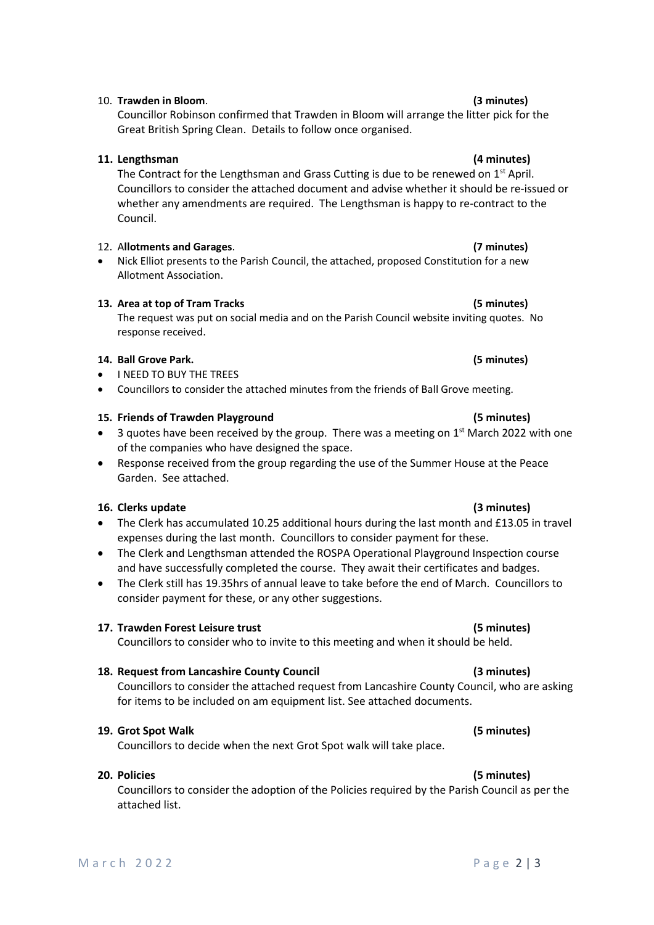# 10. **Trawden in Bloom**. **(3 minutes)**

Councillor Robinson confirmed that Trawden in Bloom will arrange the litter pick for the Great British Spring Clean. Details to follow once organised.

### **11. Lengthsman (4 minutes)**

The Contract for the Lengthsman and Grass Cutting is due to be renewed on 1<sup>st</sup> April. Councillors to consider the attached document and advise whether it should be re-issued or whether any amendments are required. The Lengthsman is happy to re-contract to the Council.

### 12. A**llotments and Garages**. **(7 minutes)**

• Nick Elliot presents to the Parish Council, the attached, proposed Constitution for a new Allotment Association.

### **13. Area at top of Tram Tracks (5 minutes)**

The request was put on social media and on the Parish Council website inviting quotes. No response received.

#### **14. Ball Grove Park. (5 minutes)**

- I NEED TO BUY THE TREES
- Councillors to consider the attached minutes from the friends of Ball Grove meeting.

#### **15. Friends of Trawden Playground (5 minutes)**

- 3 quotes have been received by the group. There was a meeting on  $1<sup>st</sup>$  March 2022 with one of the companies who have designed the space.
- Response received from the group regarding the use of the Summer House at the Peace Garden. See attached.

### **16. Clerks update (3 minutes)**

- The Clerk has accumulated 10.25 additional hours during the last month and £13.05 in travel expenses during the last month. Councillors to consider payment for these.
- The Clerk and Lengthsman attended the ROSPA Operational Playground Inspection course and have successfully completed the course. They await their certificates and badges.
- The Clerk still has 19.35hrs of annual leave to take before the end of March. Councillors to consider payment for these, or any other suggestions.

### **17. Trawden Forest Leisure trust (5 minutes)**

Councillors to consider who to invite to this meeting and when it should be held.

### **18. Request from Lancashire County Council (3 minutes)**

Councillors to consider the attached request from Lancashire County Council, who are asking for items to be included on am equipment list. See attached documents.

### **19. Grot Spot Walk (5 minutes)**

Councillors to decide when the next Grot Spot walk will take place.

### **20. Policies (5 minutes)**

Councillors to consider the adoption of the Policies required by the Parish Council as per the attached list.